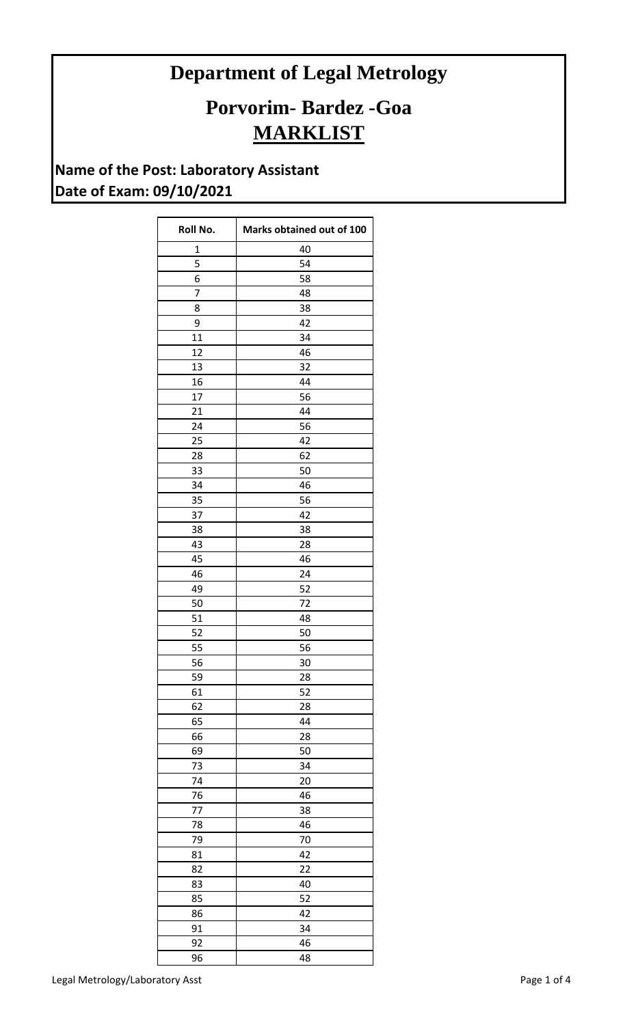## **Department of Legal Metrology**

## **Porvorim- Bardez -Goa MARKLIST**

## **Name of the Post: Laboratory Assistant Date of Exam: 09/10/2021**

| Roll No.       | Marks obtained out of 100 |
|----------------|---------------------------|
| $\mathbf 1$    | 40                        |
| 5              | 54                        |
| 6              | 58                        |
| $\overline{7}$ | 48                        |
| 8              | 38                        |
| 9              | 42                        |
| 11             | 34                        |
| 12             | 46                        |
| 13             | 32                        |
| 16             | 44                        |
| 17             | 56                        |
| 21             | 44                        |
| 24             | 56                        |
| 25             | 42                        |
| 28             | 62                        |
| 33             | 50                        |
| 34             | 46                        |
| 35             | 56                        |
| 37             | 42                        |
| 38             | 38                        |
| 43             | 28                        |
| 45             | 46                        |
| 46             | 24                        |
| 49             | 52                        |
| 50             | 72                        |
| 51             | 48                        |
| 52             | 50                        |
| 55             | 56                        |
| 56             | 30                        |
| 59             | 28                        |
| 61             | 52                        |
| 62             | 28                        |
| 65             | 44                        |
| 66             | 28                        |
| 69             | 50                        |
| 73             | 34                        |
| 74             | 20                        |
| 76             | 46                        |
| 77             | 38                        |
| 78             | 46                        |
| 79             | 70                        |
| 81             | 42                        |
| 82             | 22                        |
| 83             | 40                        |
| 85             | 52                        |
| 86             | 42                        |
| 91             | 34                        |
| 92             | 46                        |
| 96             | 48                        |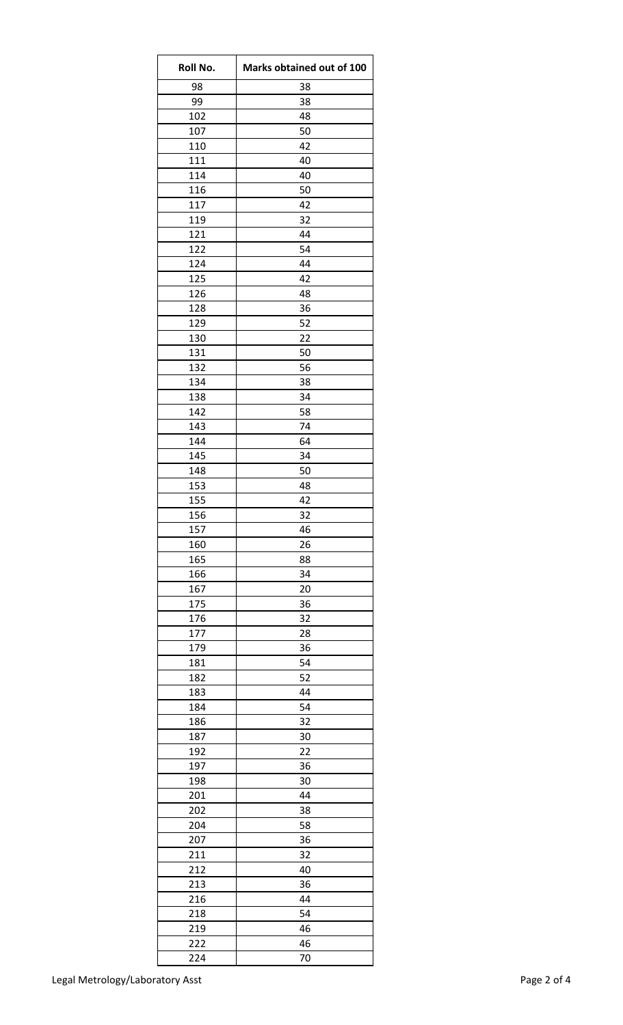| Roll No. | Marks obtained out of 100 |
|----------|---------------------------|
| 98       | 38                        |
| 99       | 38                        |
| 102      | 48                        |
| 107      | 50                        |
| 110      | 42                        |
| 111      | 40                        |
| 114      | 40                        |
| 116      | 50                        |
| 117      | 42                        |
| 119      | 32                        |
| 121      | 44                        |
| 122      | 54                        |
| 124      | 44                        |
| 125      | 42                        |
| 126      | 48                        |
| 128      | 36                        |
| 129      | 52                        |
| 130      | 22                        |
| 131      | 50                        |
| 132      | 56                        |
| 134      | 38                        |
| 138      | 34                        |
| 142      | 58                        |
| 143      | 74                        |
| 144      | 64                        |
|          |                           |
| 145      | 34                        |
| 148      | 50                        |
| 153      | 48                        |
| 155      | 42                        |
| 156      | 32                        |
| 157      | 46                        |
| 160      | 26                        |
| 165      | 88                        |
| 166      | 34                        |
| 167      | 20                        |
| 175      | 36                        |
| 176      | 32                        |
| 177      | 28                        |
| 179      | 36                        |
| 181      | 54                        |
| 182      | 52                        |
| 183      | 44                        |
| 184      | 54                        |
| 186      | 32                        |
| 187      | 30                        |
| 192      | 22                        |
| 197      | 36                        |
| 198      | 30                        |
| 201      | 44                        |
| 202      | 38                        |
| 204      | 58                        |
| 207      | 36                        |
| 211      | 32                        |
| 212      | 40                        |
| 213      | 36                        |
| 216      | 44                        |
| 218      | 54                        |
| 219      | 46                        |
|          |                           |
| 222      | 46                        |
| 224      | 70                        |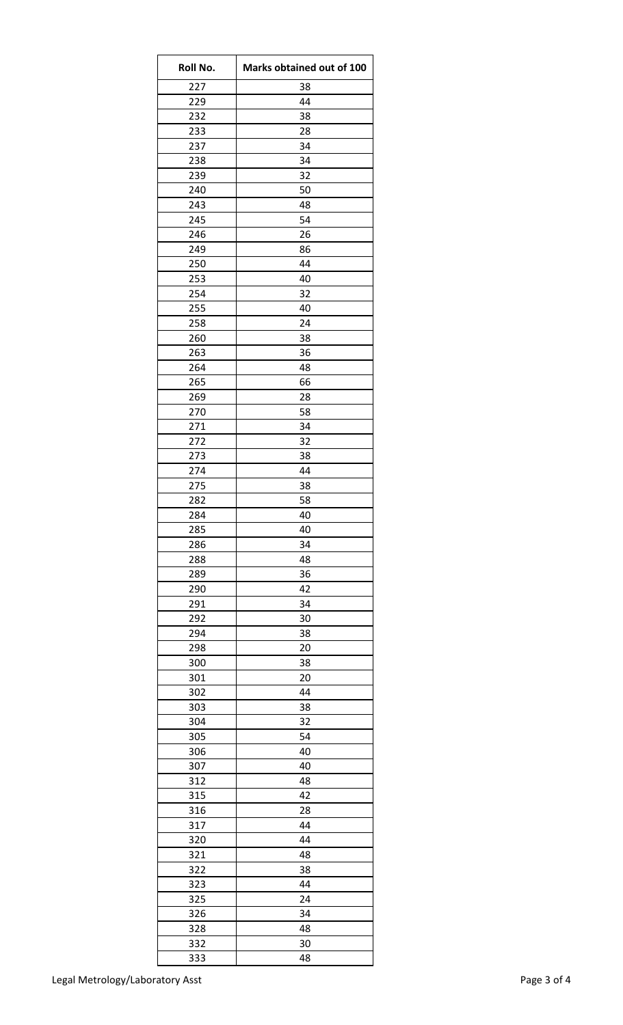| Roll No.   | Marks obtained out of 100 |
|------------|---------------------------|
| 227        | 38                        |
| 229        | 44                        |
| 232        | 38                        |
| 233        | 28                        |
| 237        | 34                        |
| 238        | 34                        |
| 239        | 32                        |
| 240        | 50                        |
| 243        | 48                        |
| 245        | 54                        |
| 246        | 26                        |
| 249        | 86                        |
| 250        | 44                        |
| 253        | 40                        |
| 254        | 32                        |
| 255        | 40                        |
| 258        | 24                        |
| 260        | 38                        |
| 263        | 36                        |
| 264        | 48                        |
| 265        | 66                        |
| 269        | 28                        |
| 270        | 58                        |
| 271        | 34                        |
| 272        | 32                        |
| 273        | 38                        |
| 274        | 44                        |
| 275        | 38                        |
| 282<br>284 | 58<br>40                  |
| 285        | 40                        |
| 286        | 34                        |
| 288        | 48                        |
| 289        | 36                        |
| 290        | 42                        |
| 291        | 34                        |
| 292        | 30                        |
| 294        | 38                        |
| 298        | 20                        |
| 300        | 38                        |
| 301        | 20                        |
| 302        | 44                        |
| 303        | 38                        |
| 304        | 32                        |
| 305        | 54                        |
| 306        | 40                        |
| 307        | 40                        |
| 312        | 48                        |
| 315        | 42                        |
| 316        | 28                        |
| 317        | 44                        |
| 320        | 44                        |
| 321        | 48                        |
| 322        | 38                        |
| 323        | 44                        |
| 325        | 24                        |
| 326        | 34                        |
| 328        | 48                        |
| 332        | 30                        |
| 333        | 48                        |